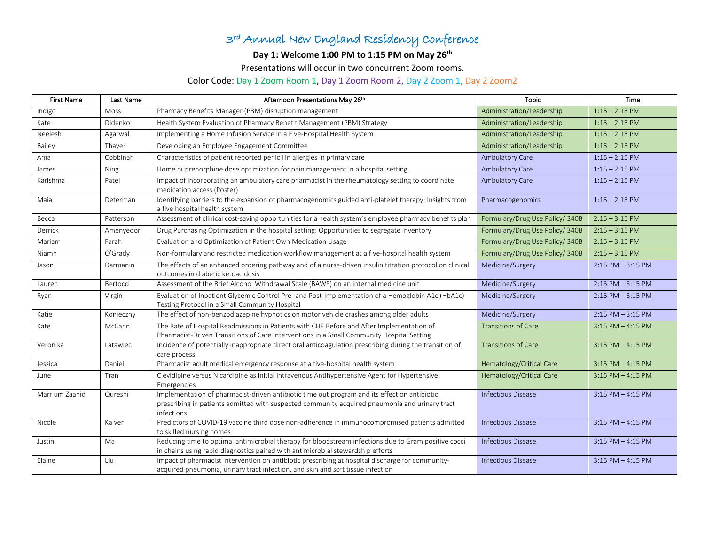## 3rd Annual New England Residency Conference

## **Day 1: Welcome 1:00 PM to 1:15 PM on May 26th**

Presentations will occur in two concurrent Zoom rooms.

## Color Code: Day 1 Zoom Room 1, Day 1 Zoom Room 2, Day 2 Zoom 1, Day 2 Zoom2

| <b>First Name</b> | Last Name | Afternoon Presentations May 26th                                                                                                                                                                             | <b>Topic</b>                   | <b>Time</b>           |
|-------------------|-----------|--------------------------------------------------------------------------------------------------------------------------------------------------------------------------------------------------------------|--------------------------------|-----------------------|
| Indigo            | Moss      | Pharmacy Benefits Manager (PBM) disruption management                                                                                                                                                        | Administration/Leadership      | $1:15 - 2:15$ PM      |
| Kate              | Didenko   | Health System Evaluation of Pharmacy Benefit Management (PBM) Strategy                                                                                                                                       | Administration/Leadership      | $1:15 - 2:15$ PM      |
| Neelesh           | Agarwal   | Implementing a Home Infusion Service in a Five-Hospital Health System                                                                                                                                        | Administration/Leadership      | $1:15 - 2:15$ PM      |
| Bailey            | Thayer    | Developing an Employee Engagement Committee                                                                                                                                                                  | Administration/Leadership      | $1:15 - 2:15$ PM      |
| Ama               | Cobbinah  | Characteristics of patient reported penicillin allergies in primary care                                                                                                                                     | Ambulatory Care                | $1:15 - 2:15$ PM      |
| James             | Ning      | Home buprenorphine dose optimization for pain management in a hospital setting                                                                                                                               | Ambulatory Care                | $1:15 - 2:15$ PM      |
| Karishma          | Patel     | Impact of incorporating an ambulatory care pharmacist in the rheumatology setting to coordinate<br>medication access (Poster)                                                                                | Ambulatory Care                | $1:15 - 2:15$ PM      |
| Maia              | Determan  | Identifying barriers to the expansion of pharmacogenomics guided anti-platelet therapy: Insights from<br>a five hospital health system                                                                       | Pharmacogenomics               | $1:15 - 2:15$ PM      |
| Becca             | Patterson | Assessment of clinical cost-saving opportunities for a health system's employee pharmacy benefits plan                                                                                                       | Formulary/Drug Use Policy/340B | $2:15 - 3:15$ PM      |
| Derrick           | Amenyedor | Drug Purchasing Optimization in the hospital setting: Opportunities to segregate inventory                                                                                                                   | Formulary/Drug Use Policy/340B | $2:15 - 3:15$ PM      |
| Mariam            | Farah     | Evaluation and Optimization of Patient Own Medication Usage                                                                                                                                                  | Formulary/Drug Use Policy/340B | $2:15 - 3:15$ PM      |
| Niamh             | O'Grady   | Non-formulary and restricted medication workflow management at a five-hospital health system                                                                                                                 | Formulary/Drug Use Policy/340B | $2:15 - 3:15$ PM      |
| Jason             | Darmanin  | The effects of an enhanced ordering pathway and of a nurse-driven insulin titration protocol on clinical<br>outcomes in diabetic ketoacidosis                                                                | Medicine/Surgery               | $2:15$ PM $-3:15$ PM  |
| Lauren            | Bertocci  | Assessment of the Brief Alcohol Withdrawal Scale (BAWS) on an internal medicine unit                                                                                                                         | Medicine/Surgery               | $2:15$ PM $-3:15$ PM  |
| Ryan              | Virgin    | Evaluation of Inpatient Glycemic Control Pre- and Post-Implementation of a Hemoglobin A1c (HbA1c)<br>Testing Protocol in a Small Community Hospital                                                          | Medicine/Surgery               | $2:15$ PM $-3:15$ PM  |
| Katie             | Konieczny | The effect of non-benzodiazepine hypnotics on motor vehicle crashes among older adults                                                                                                                       | Medicine/Surgery               | $2:15$ PM $-3:15$ PM  |
| Kate              | McCann    | The Rate of Hospital Readmissions in Patients with CHF Before and After Implementation of<br>Pharmacist-Driven Transitions of Care Interventions in a Small Community Hospital Setting                       | <b>Transitions of Care</b>     | $3:15$ PM $-$ 4:15 PM |
| Veronika          | Latawiec  | Incidence of potentially inappropriate direct oral anticoagulation prescribing during the transition of<br>care process                                                                                      | <b>Transitions of Care</b>     | $3:15$ PM $-$ 4:15 PM |
| Jessica           | Daniell   | Pharmacist adult medical emergency response at a five-hospital health system                                                                                                                                 | Hematology/Critical Care       | $3:15$ PM $-$ 4:15 PM |
| June              | Tran      | Clevidipine versus Nicardipine as Initial Intravenous Antihypertensive Agent for Hypertensive<br>Emergencies                                                                                                 | Hematology/Critical Care       | $3:15$ PM $-$ 4:15 PM |
| Marrium Zaahid    | Qureshi   | Implementation of pharmacist-driven antibiotic time out program and its effect on antibiotic<br>prescribing in patients admitted with suspected community acquired pneumonia and urinary tract<br>infections | <b>Infectious Disease</b>      | $3:15$ PM $-$ 4:15 PM |
| Nicole            | Kalver    | Predictors of COVID-19 vaccine third dose non-adherence in immunocompromised patients admitted<br>to skilled nursing homes                                                                                   | <b>Infectious Disease</b>      | $3:15$ PM $-$ 4:15 PM |
| Justin            | Ma        | Reducing time to optimal antimicrobial therapy for bloodstream infections due to Gram positive cocci<br>in chains using rapid diagnostics paired with antimicrobial stewardship efforts                      | <b>Infectious Disease</b>      | $3:15$ PM $-$ 4:15 PM |
| Elaine            | Liu       | Impact of pharmacist intervention on antibiotic prescribing at hospital discharge for community-<br>acquired pneumonia, urinary tract infection, and skin and soft tissue infection                          | <b>Infectious Disease</b>      | $3:15$ PM $-$ 4:15 PM |